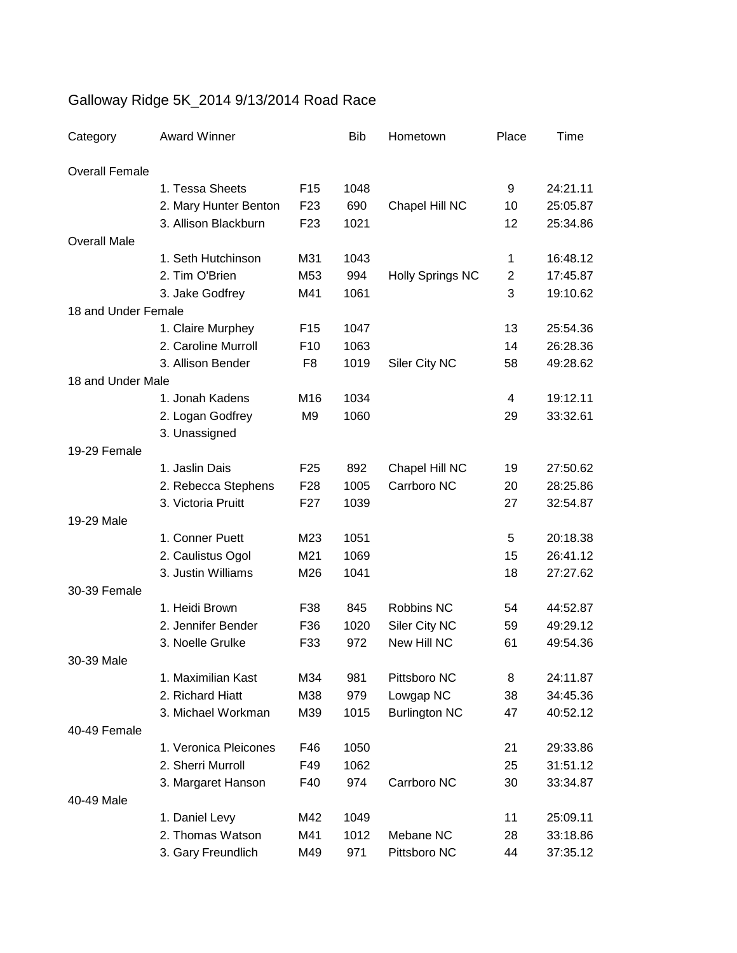## Galloway Ridge 5K\_2014 9/13/2014 Road Race

| Category              | <b>Award Winner</b>                        |                 | <b>Bib</b> | Hometown                | Place          | Time     |
|-----------------------|--------------------------------------------|-----------------|------------|-------------------------|----------------|----------|
| <b>Overall Female</b> |                                            |                 |            |                         |                |          |
|                       | 1. Tessa Sheets                            | F <sub>15</sub> | 1048       |                         | 9              | 24:21.11 |
|                       | 2. Mary Hunter Benton                      | F <sub>23</sub> | 690        | Chapel Hill NC          | 10             | 25:05.87 |
|                       | 3. Allison Blackburn                       | F <sub>23</sub> | 1021       |                         | 12             | 25:34.86 |
| <b>Overall Male</b>   |                                            |                 |            |                         |                |          |
|                       | 1. Seth Hutchinson                         | M31             | 1043       |                         | 1              | 16:48.12 |
|                       | 2. Tim O'Brien                             | M53             | 994        | <b>Holly Springs NC</b> | $\overline{2}$ | 17:45.87 |
|                       | 3. Jake Godfrey                            | M41             | 1061       |                         | 3              | 19:10.62 |
| 18 and Under Female   |                                            |                 |            |                         |                |          |
|                       | 1. Claire Murphey                          | F <sub>15</sub> | 1047       |                         | 13             | 25:54.36 |
|                       | 2. Caroline Murroll                        | F <sub>10</sub> | 1063       |                         | 14             | 26:28.36 |
|                       | 3. Allison Bender                          | F <sub>8</sub>  | 1019       | Siler City NC           | 58             | 49:28.62 |
| 18 and Under Male     |                                            |                 |            |                         |                |          |
|                       | 1. Jonah Kadens                            | M16             | 1034       |                         | 4              | 19:12.11 |
|                       | 2. Logan Godfrey                           | M <sub>9</sub>  | 1060       |                         | 29             | 33:32.61 |
|                       | 3. Unassigned                              |                 |            |                         |                |          |
| 19-29 Female          |                                            |                 |            |                         |                |          |
|                       | 1. Jaslin Dais                             | F <sub>25</sub> | 892        | Chapel Hill NC          | 19             | 27:50.62 |
|                       | 2. Rebecca Stephens                        | F <sub>28</sub> | 1005       | Carrboro NC             | 20             | 28:25.86 |
|                       | 3. Victoria Pruitt                         | F <sub>27</sub> | 1039       |                         | 27             | 32:54.87 |
| 19-29 Male            |                                            |                 |            |                         |                |          |
|                       | 1. Conner Puett                            | M23             | 1051       |                         | 5              | 20:18.38 |
|                       | 2. Caulistus Ogol                          | M21             | 1069       |                         | 15             | 26:41.12 |
|                       | 3. Justin Williams                         | M26             | 1041       |                         | 18             | 27:27.62 |
| 30-39 Female          |                                            |                 |            |                         |                |          |
|                       | 1. Heidi Brown                             | F38             | 845        | Robbins NC              | 54             | 44:52.87 |
|                       | 2. Jennifer Bender                         | F36             | 1020       | Siler City NC           | 59             | 49:29.12 |
|                       | 3. Noelle Grulke                           | F33             | 972        | New Hill NC             | 61             | 49:54.36 |
| 30-39 Male            |                                            |                 |            |                         |                |          |
|                       | 1. Maximilian Kast                         | M34             | 981        | Pittsboro NC            | 8              | 24:11.87 |
|                       | 2. Richard Hiatt                           | M38             | 979        | Lowgap NC               | 38             | 34:45.36 |
|                       | 3. Michael Workman                         | M39             | 1015       | <b>Burlington NC</b>    | 47             | 40:52.12 |
| 40-49 Female          |                                            |                 |            |                         |                |          |
|                       | 1. Veronica Pleicones<br>2. Sherri Murroll | F46             | 1050       |                         | 21             | 29:33.86 |
|                       |                                            | F49             | 1062       |                         | 25             | 31:51.12 |
| 40-49 Male            | 3. Margaret Hanson                         | F40             | 974        | Carrboro NC             | 30             | 33:34.87 |
|                       | 1. Daniel Levy                             | M42             | 1049       |                         | 11             | 25:09.11 |
|                       | 2. Thomas Watson                           | M41             | 1012       | Mebane NC               | 28             | 33:18.86 |
|                       | 3. Gary Freundlich                         | M49             | 971        | Pittsboro NC            | 44             | 37:35.12 |
|                       |                                            |                 |            |                         |                |          |